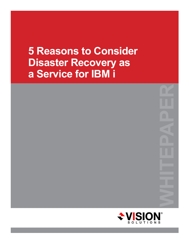# **5 Reasons to Consider Disaster Recovery as a Service for IBM i**

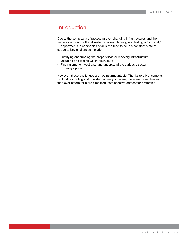### Introduction

Due to the complexity of protecting ever-changing infrastructures and the perception by some that disaster recovery planning and testing is "optional," IT departments in companies of all sizes tend to be in a constant state of struggle. Key challenges include:

- Justifying and funding the proper disaster recovery infrastructure
- Updating and testing DR infrastructure
- Finding time to investigate and understand the various disaster recovery options.

However, these challenges are not insurmountable. Thanks to advancements in cloud computing and disaster recovery software, there are more choices than ever before for more simplified, cost effective datacenter protection.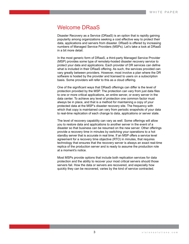#### Welcome DRaaS

Disaster Recovery as a Service (DRaaS) is an option that is rapidly gaining popularity among organizations seeking a cost effective way to protect their data, applications and servers from disaster. DRaaS is offered by increasing numbers of Managed Service Providers (MSPs). Let's take a look at DRaaS in a bit more detail.

In the most generic form of DRaaS, a third-party Managed Service Provider (MSP) provides some type of remotely-hosted disaster recovery service to protect your data and applications. Each provider of DR services can define what is included in their DRaaS offering. As such, the services provided can vary greatly between providers. However, most involve a plan where the DR software is hosted by the provider and licensed to users on a subscription basis. Some providers will refer to this as a cloud offering.

One of the significant ways that DRaaS offerings can differ is the level of protection provided by the MSP. The protection can vary from just data files to one or more critical applications, an entire server, or every server in the data center. To achieve any level of protection one common factor must always be in place, and that is a method for maintaining a copy of your protected data at the MSP's disaster recovery site. The frequency with which that copy is maintained can vary from periodic snapshots of your data to real-time replication of each change to data, applications or server state.

The level of recovery capability can vary as well. Some offerings will allow you to restore data and applications to another server in the event of a disaster so that business can be resumed on the new server. Other offerings provide a recovery time in minutes by switching your operations to a hot standby server that is accurate in real time. If an MSP offers a service level agreement for a recovery time objective (RTO) in minutes, that requires technology that ensures that the recovery server is always an exact real-time replica of the production server and is ready to assume the production role at a moment's notice.

Most MSPs provide options that include both replication services for data protection and the ability to recover your most critical servers should those servers fail. How the data or servers are recovered, and especially how quickly they can be recovered, varies by the kind of service contracted.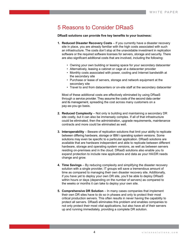## 5 Reasons to Consider DRaaS

**DRaaS solutions can provide five key benefits to your business:**

- **1. Reduced Disaster Recovery Costs** If you currently have a disaster recovery site in place, you are already familiar with the high costs associated with such an infrastructure. The costs don't stop at the unavoidable investment in replication software or the required software licenses for servers, storage and security. There are also significant additional costs that are involved, including the following:
	- Owning your own building or leasing space for your secondary datacenter
	- Alternatively, leasing a cabinet or cage at a datacenter provider
	- Monthly costs associated with power, cooling and Internet bandwidth at the secondary site
	- Purchase or lease of servers, storage and network equipment at the secondary site
	- Travel to and from datacenters or on-site staff at the secondary datacenter

Most of these additional costs are effectively eliminated by using DRaaS through a service provider. They assume the costs of the second data center and its management, spreading the cost across many customers on a pay-as-you-go basis.

- **2. Reduced Complexity**  Not only is building and maintaining a secondary DR site costly, but it can also be immensely complex. If all of that infrastructure could be eliminated, then the administration, upgrade requirements, maintenance contracts and more could be eliminated as well.
- **3. Interoperability** Beware of replication solutions that limit your ability to replicate between differing hardware, storage or IBM i operating system versions. Some solutions may even be specific to a particular application. DRaaS solutions are available that are hardware independent and able to replicate between different hardware, storage and operating system versions, as well as between servers residing on-premises and in the cloud. DRaaS solutions also enable you to expand protection to include new applications and data as your HA/DR needs change and grow.
- **4. Time Savings**  By reducing complexity and simplifying the disaster recovery solution with a single provider, IT groups will save a tremendous amount of time as compared to managing their own disaster recovery site. Additionally, if you have yet to deploy your own DR site, you'll be able to deploy DRaaS within hours or days (depending on the number of servers) as compared to the weeks or months it can take to deploy your own site.
- **5. Comprehensive DR Solution** In many cases companies that implement their own DR sites have to do so in phases and only to protect their most critical production servers. This often results in never having the capability to protect all servers. DRaaS eliminates this problem and enables companies to not only protect their most vital applications, but also have all of their servers up and running immediately, providing a complete DR solution.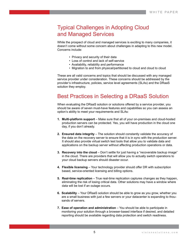# Typical Challenges in Adopting Cloud and Managed Services

While the prospect of cloud and managed services is exciting to many companies, it doesn't come without some concern about challenges in adapting to this new model. Concerns include:

- Privacy and security of their data
- Loss of control and lack of self-service
- Availability, reliability and performance
- Migration to and from physical/partitioned to cloud and cloud to cloud

These are all valid concerns and topics that should be discussed with any managed service provider under consideration. These concerns should be addressed by the provider's infrastructure, policies, service level agreements (SLAs) and the DRaaS solution they employ.

# Best Practices in Selecting a DRaaS Solution

When evaluating the DRaaS solution or solutions offered by a service provider, you should be aware of seven must-have features and capabilities so you can assess an option's ability to meet your requirements and SLAs:

- **1. Multi-platform support**  Make sure that all of your on-premises and cloud-hosted production servers can be protected. Yes, you will have production in the cloud one day, if you don't already.
- **2. Ensured data integrity**  The solution should constantly validate the accuracy of the data on the recovery server to ensure that it is in sync with the production server. It should also provide virtual switch test tools that allow you to validate data and applications on the backup server without affecting production operations or data.
- **3. Recovery into the cloud** Don't settle for just having a "recoverable backup image" in the cloud. There are providers that will allow you to actually switch operations to your cloud backup servers should disaster occur.
- **4. Flexible licensing** Your technology provider should offer DR with subscription based, service-oriented licensing and billing options.
- **5. Real-time replication** True real-time replication captures changes as they happen, eliminating the risk of losing critical data. Other solutions may have a window where data will be lost if an outage occurs.
- **6. Scalability** Your DRaaS solution should be able to grow as you grow, whether you are a small business with just a few servers or your datacenter is expanding to thousands of servers.
- **7. Ease of operation and administration** You should be able to participate in monitoring your solution through a browser-based interface if desired, and detailed reporting should be available regarding data protection and switch readiness.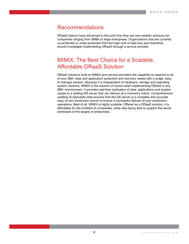#### Recommendations

DRaaS options have advanced to the point that they are now realistic solutions for companies ranging from SMBs to large enterprises. Organizations that are currently un-protected or under-protected from the high cost of data loss and downtime, should investigate implementing DRaaS through a service provider.

# MIMIX: The Best Choice for a Scalable, Affordable DRaaS Solution

DRaaS solutions built on MIMIX give service providers the capability to respond to all of your IBM i data and application protection and recovery needs with a single, easy to manage solution. Because it is independent of hardware, storage and operating system versions, MIMIX is the solution of choice when implementing DRaaS in any IBM i environment. It provides real-time replication of data, applications and system values to a waiting DR server that can failover at a moment's notice. Comprehensive auditing of replicated data ensures that the DR server is a complete and accurate copy of your production server to ensure a successful failover of your production operations. Best of all, MIMIX is highly scalable. Offered as a DRaaS solution, it is affordable for the smallest of companies, while also being able to support the server workloads of the largest of enterprises.